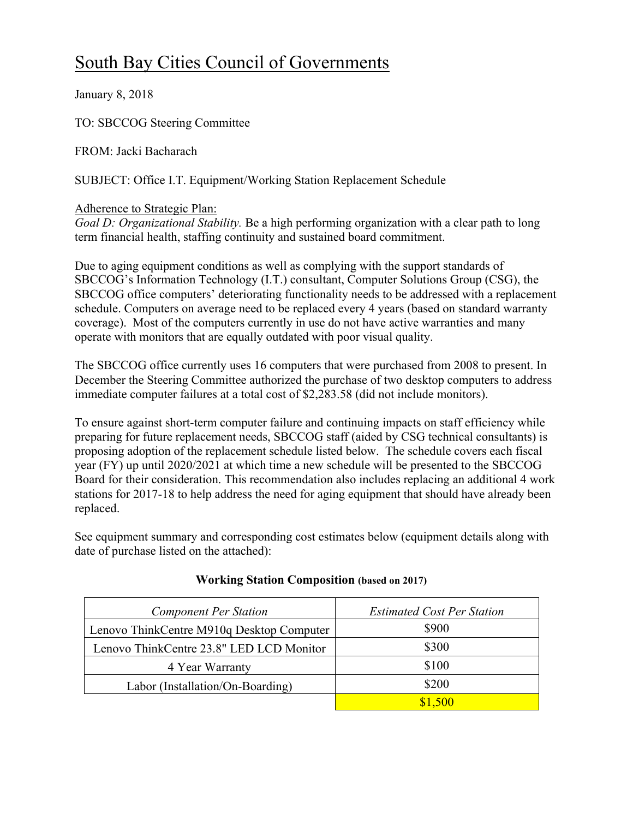# South Bay Cities Council of Governments

January 8, 2018

TO: SBCCOG Steering Committee

FROM: Jacki Bacharach

SUBJECT: Office I.T. Equipment/Working Station Replacement Schedule

#### Adherence to Strategic Plan:

*Goal D: Organizational Stability.* Be a high performing organization with a clear path to long term financial health, staffing continuity and sustained board commitment.

Due to aging equipment conditions as well as complying with the support standards of SBCCOG's Information Technology (I.T.) consultant, Computer Solutions Group (CSG), the SBCCOG office computers' deteriorating functionality needs to be addressed with a replacement schedule. Computers on average need to be replaced every 4 years (based on standard warranty coverage). Most of the computers currently in use do not have active warranties and many operate with monitors that are equally outdated with poor visual quality.

The SBCCOG office currently uses 16 computers that were purchased from 2008 to present. In December the Steering Committee authorized the purchase of two desktop computers to address immediate computer failures at a total cost of \$2,283.58 (did not include monitors).

To ensure against short-term computer failure and continuing impacts on staff efficiency while preparing for future replacement needs, SBCCOG staff (aided by CSG technical consultants) is proposing adoption of the replacement schedule listed below. The schedule covers each fiscal year (FY) up until 2020/2021 at which time a new schedule will be presented to the SBCCOG Board for their consideration. This recommendation also includes replacing an additional 4 work stations for 2017-18 to help address the need for aging equipment that should have already been replaced.

See equipment summary and corresponding cost estimates below (equipment details along with date of purchase listed on the attached):

| <b>Component Per Station</b>              | <b>Estimated Cost Per Station</b> |  |
|-------------------------------------------|-----------------------------------|--|
| Lenovo ThinkCentre M910q Desktop Computer | \$900                             |  |
| Lenovo ThinkCentre 23.8" LED LCD Monitor  | \$300                             |  |
| 4 Year Warranty                           | \$100                             |  |
| Labor (Installation/On-Boarding)          | \$200                             |  |
|                                           | \$1,500                           |  |

## **Working Station Composition (based on 2017)**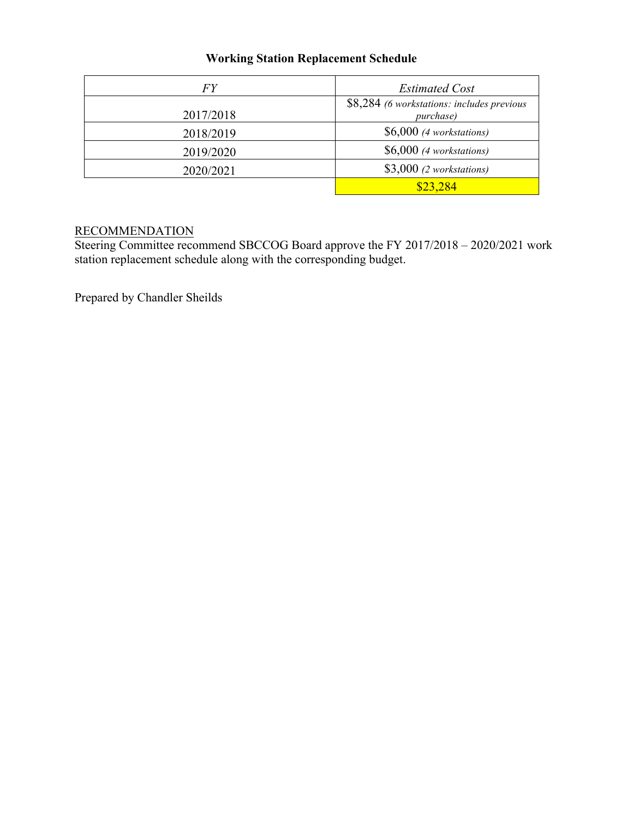## **Working Station Replacement Schedule**

| FY        | <b>Estimated Cost</b>                                   |  |
|-----------|---------------------------------------------------------|--|
| 2017/2018 | \$8,284 (6 workstations: includes previous<br>purchase) |  |
| 2018/2019 | $$6,000$ (4 workstations)                               |  |
| 2019/2020 | $$6,000$ (4 workstations)                               |  |
| 2020/2021 | $$3,000$ (2 workstations)                               |  |
|           | \$23,284                                                |  |

#### RECOMMENDATION

Steering Committee recommend SBCCOG Board approve the FY 2017/2018 – 2020/2021 work station replacement schedule along with the corresponding budget.

Prepared by Chandler Sheilds